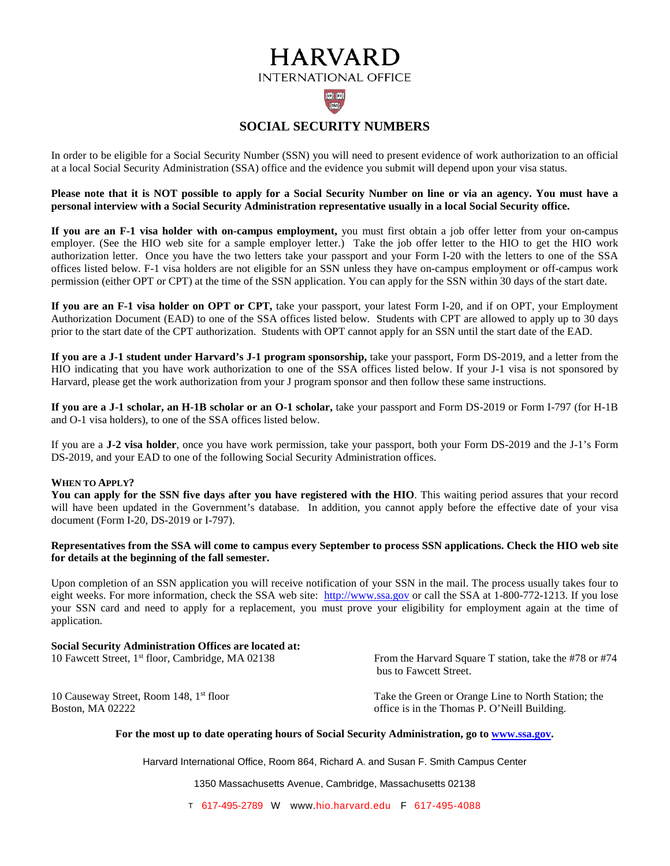# **HARVARD INTERNATIONAL OFFICE**

## $|\mathbf{Z}||$ **SOCIAL SECURITY NUMBERS**

In order to be eligible for a Social Security Number (SSN) you will need to present evidence of work authorization to an official at a local Social Security Administration (SSA) office and the evidence you submit will depend upon your visa status.

**Please note that it is NOT possible to apply for a Social Security Number on line or via an agency. You must have a personal interview with a Social Security Administration representative usually in a local Social Security office.**

**If you are an F-1 visa holder with on-campus employment,** you must first obtain a job offer letter from your on-campus employer. (See the HIO web site for a sample employer letter.) Take the job offer letter to the HIO to get the HIO work authorization letter. Once you have the two letters take your passport and your Form I-20 with the letters to one of the SSA offices listed below. F-1 visa holders are not eligible for an SSN unless they have on-campus employment or off-campus work permission (either OPT or CPT) at the time of the SSN application. You can apply for the SSN within 30 days of the start date.

**If you are an F-1 visa holder on OPT or CPT,** take your passport, your latest Form I-20, and if on OPT, your Employment Authorization Document (EAD) to one of the SSA offices listed below. Students with CPT are allowed to apply up to 30 days prior to the start date of the CPT authorization. Students with OPT cannot apply for an SSN until the start date of the EAD.

**If you are a J-1 student under Harvard's J-1 program sponsorship,** take your passport, Form DS-2019, and a letter from the HIO indicating that you have work authorization to one of the SSA offices listed below. If your J-1 visa is not sponsored by Harvard, please get the work authorization from your J program sponsor and then follow these same instructions.

**If you are a J-1 scholar, an H-1B scholar or an O-1 scholar,** take your passport and Form DS-2019 or Form I-797 (for H-1B and O-1 visa holders), to one of the SSA offices listed below.

If you are a **J-2 visa holder**, once you have work permission, take your passport, both your Form DS-2019 and the J-1's Form DS-2019, and your EAD to one of the following Social Security Administration offices.

### **WHEN TO APPLY?**

**You can apply for the SSN five days after you have registered with the HIO**. This waiting period assures that your record will have been updated in the Government's database. In addition, you cannot apply before the effective date of your visa document (Form I-20, DS-2019 or I-797).

### **Representatives from the SSA will come to campus every September to process SSN applications. Check the HIO web site for details at the beginning of the fall semester.**

Upon completion of an SSN application you will receive notification of your SSN in the mail. The process usually takes four to eight weeks. For more information, check the SSA web site: [http://www.ssa.gov](http://www.ssa.gov/) or call the SSA at 1-800-772-1213. If you lose your SSN card and need to apply for a replacement, you must prove your eligibility for employment again at the time of application.

## **Social Security Administration Offices are located at:** 10 Fawcett Street, 1<sup>st</sup> floor, Cambridge, MA 02138 From the Harvard Square T station, take the #78 or #74 bus to Fawcett Street. 10 Causeway Street, Room 148, 1<sup>st</sup> floor Take the Green or Orange Line to North Station; the Boston, MA 02222 **b**oston, MA 02222 **office is in the Thomas P. O'Neill Building.**

### **For the most up to date operating hours of Social Security Administration, go to [www.ssa.gov.](http://www.ssa.gov/)**

Harvard International Office, Room 864, Richard A. and Susan F. Smith Campus Center

1350 Massachusetts Avenue, Cambridge, Massachusetts 02138

T 617-495-2789 W www.hio.harvard.edu F 617-495-4088